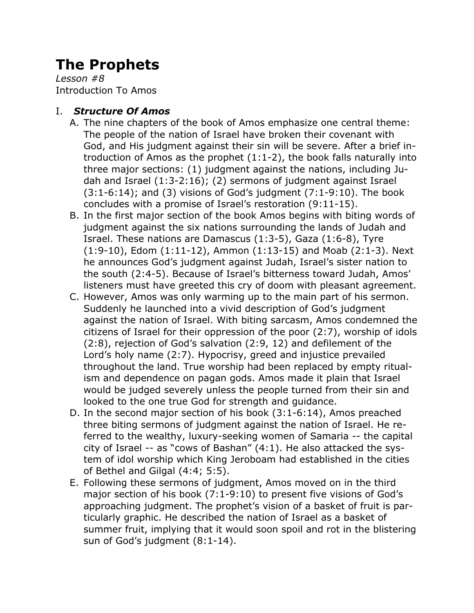# **The Prophets**

*Lesson #8* Introduction To Amos

## I. *Structure Of Amos*

- A. The nine chapters of the book of Amos emphasize one central theme: The people of the nation of Israel have broken their covenant with God, and His judgment against their sin will be severe. After a brief introduction of Amos as the prophet (1:1-2), the book falls naturally into three major sections: (1) judgment against the nations, including Judah and Israel (1:3-2:16); (2) sermons of judgment against Israel  $(3:1-6:14)$ ; and  $(3)$  visions of God's judgment  $(7:1-9:10)$ . The book concludes with a promise of Israel's restoration (9:11-15).
- B. In the first major section of the book Amos begins with biting words of judgment against the six nations surrounding the lands of Judah and Israel. These nations are Damascus (1:3-5), Gaza (1:6-8), Tyre (1:9-10), Edom (1:11-12), Ammon (1:13-15) and Moab (2:1-3). Next he announces God's judgment against Judah, Israel's sister nation to the south (2:4-5). Because of Israel's bitterness toward Judah, Amos' listeners must have greeted this cry of doom with pleasant agreement.
- C. However, Amos was only warming up to the main part of his sermon. Suddenly he launched into a vivid description of God's judgment against the nation of Israel. With biting sarcasm, Amos condemned the citizens of Israel for their oppression of the poor (2:7), worship of idols (2:8), rejection of God's salvation (2:9, 12) and defilement of the Lord's holy name (2:7). Hypocrisy, greed and injustice prevailed throughout the land. True worship had been replaced by empty ritualism and dependence on pagan gods. Amos made it plain that Israel would be judged severely unless the people turned from their sin and looked to the one true God for strength and guidance.
- D. In the second major section of his book (3:1-6:14), Amos preached three biting sermons of judgment against the nation of Israel. He referred to the wealthy, luxury-seeking women of Samaria -- the capital city of Israel -- as "cows of Bashan" (4:1). He also attacked the system of idol worship which King Jeroboam had established in the cities of Bethel and Gilgal (4:4; 5:5).
- E. Following these sermons of judgment, Amos moved on in the third major section of his book (7:1-9:10) to present five visions of God's approaching judgment. The prophet's vision of a basket of fruit is particularly graphic. He described the nation of Israel as a basket of summer fruit, implying that it would soon spoil and rot in the blistering sun of God's judgment (8:1-14).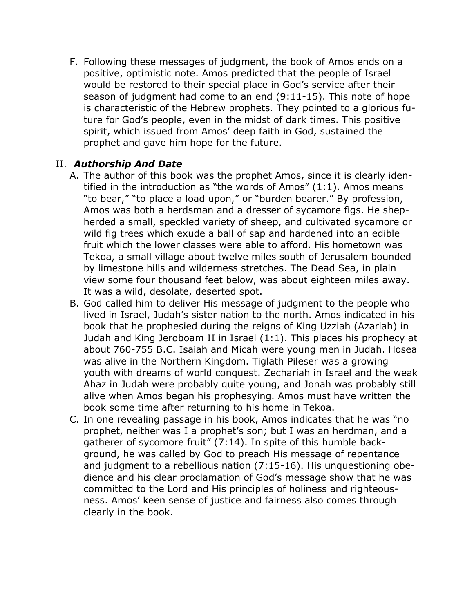F. Following these messages of judgment, the book of Amos ends on a positive, optimistic note. Amos predicted that the people of Israel would be restored to their special place in God's service after their season of judgment had come to an end (9:11-15). This note of hope is characteristic of the Hebrew prophets. They pointed to a glorious future for God's people, even in the midst of dark times. This positive spirit, which issued from Amos' deep faith in God, sustained the prophet and gave him hope for the future.

## II. *Authorship And Date*

- A. The author of this book was the prophet Amos, since it is clearly identified in the introduction as "the words of Amos" (1:1). Amos means "to bear," "to place a load upon," or "burden bearer." By profession, Amos was both a herdsman and a dresser of sycamore figs. He shepherded a small, speckled variety of sheep, and cultivated sycamore or wild fig trees which exude a ball of sap and hardened into an edible fruit which the lower classes were able to afford. His hometown was Tekoa, a small village about twelve miles south of Jerusalem bounded by limestone hills and wilderness stretches. The Dead Sea, in plain view some four thousand feet below, was about eighteen miles away. It was a wild, desolate, deserted spot.
- B. God called him to deliver His message of judgment to the people who lived in Israel, Judah's sister nation to the north. Amos indicated in his book that he prophesied during the reigns of King Uzziah (Azariah) in Judah and King Jeroboam II in Israel (1:1). This places his prophecy at about 760-755 B.C. Isaiah and Micah were young men in Judah. Hosea was alive in the Northern Kingdom. Tiglath Pileser was a growing youth with dreams of world conquest. Zechariah in Israel and the weak Ahaz in Judah were probably quite young, and Jonah was probably still alive when Amos began his prophesying. Amos must have written the book some time after returning to his home in Tekoa.
- C. In one revealing passage in his book, Amos indicates that he was "no prophet, neither was I a prophet's son; but I was an herdman, and a gatherer of sycomore fruit" (7:14). In spite of this humble background, he was called by God to preach His message of repentance and judgment to a rebellious nation (7:15-16). His unquestioning obedience and his clear proclamation of God's message show that he was committed to the Lord and His principles of holiness and righteousness. Amos' keen sense of justice and fairness also comes through clearly in the book.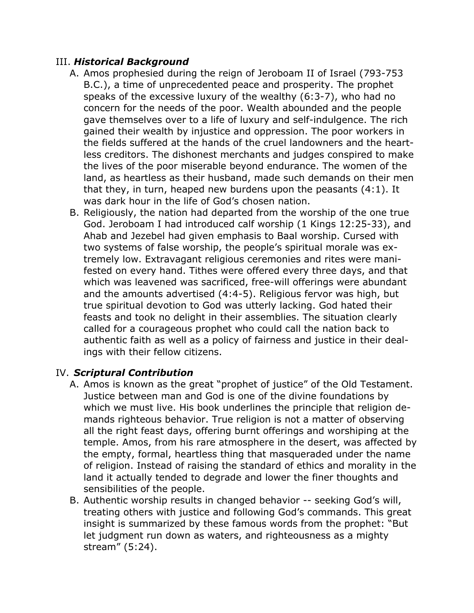#### III. *Historical Background*

- A. Amos prophesied during the reign of Jeroboam II of Israel (793-753 B.C.), a time of unprecedented peace and prosperity. The prophet speaks of the excessive luxury of the wealthy (6:3-7), who had no concern for the needs of the poor. Wealth abounded and the people gave themselves over to a life of luxury and self-indulgence. The rich gained their wealth by injustice and oppression. The poor workers in the fields suffered at the hands of the cruel landowners and the heartless creditors. The dishonest merchants and judges conspired to make the lives of the poor miserable beyond endurance. The women of the land, as heartless as their husband, made such demands on their men that they, in turn, heaped new burdens upon the peasants (4:1). It was dark hour in the life of God's chosen nation.
- B. Religiously, the nation had departed from the worship of the one true God. Jeroboam I had introduced calf worship (1 Kings 12:25-33), and Ahab and Jezebel had given emphasis to Baal worship. Cursed with two systems of false worship, the people's spiritual morale was extremely low. Extravagant religious ceremonies and rites were manifested on every hand. Tithes were offered every three days, and that which was leavened was sacrificed, free-will offerings were abundant and the amounts advertised (4:4-5). Religious fervor was high, but true spiritual devotion to God was utterly lacking. God hated their feasts and took no delight in their assemblies. The situation clearly called for a courageous prophet who could call the nation back to authentic faith as well as a policy of fairness and justice in their dealings with their fellow citizens.

#### IV. *Scriptural Contribution*

- A. Amos is known as the great "prophet of justice" of the Old Testament. Justice between man and God is one of the divine foundations by which we must live. His book underlines the principle that religion demands righteous behavior. True religion is not a matter of observing all the right feast days, offering burnt offerings and worshiping at the temple. Amos, from his rare atmosphere in the desert, was affected by the empty, formal, heartless thing that masqueraded under the name of religion. Instead of raising the standard of ethics and morality in the land it actually tended to degrade and lower the finer thoughts and sensibilities of the people.
- B. Authentic worship results in changed behavior -- seeking God's will, treating others with justice and following God's commands. This great insight is summarized by these famous words from the prophet: "But let judgment run down as waters, and righteousness as a mighty stream" (5:24).